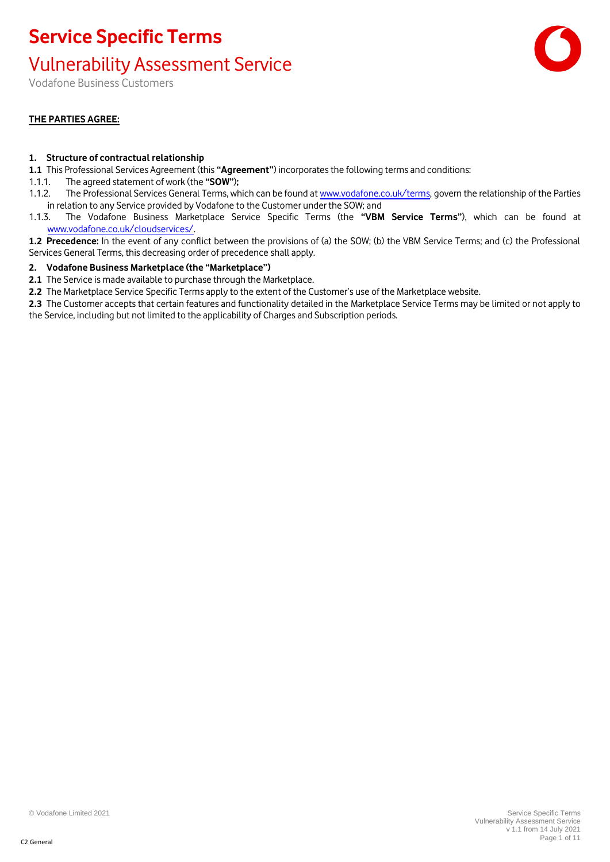### Vulnerability Assessment Service

Vodafone Business Customers

### **THE PARTIES AGREE:**

### **1. Structure of contractual relationship**

- **1.1** This Professional Services Agreement (this **"Agreement"**) incorporates the following terms and conditions:
- 1.1.1. The agreed statement of work (the **"SOW"**)**;**
- 1.1.2. The Professional Services General Terms, which can be found a[t www.vodafone.co.uk/terms,](http://www.vodafone.co.uk/terms) govern the relationship of the Parties in relation to any Service provided by Vodafone to the Customer under the SOW; and
- 1.1.3. The Vodafone Business Marketplace Service Specific Terms (the **"VBM Service Terms"**), which can be found at [www.vodafone.co.uk/cloudservices/.](http://www.vodafone.co.uk/cloudservices/)
- **1.2 Precedence:** In the event of any conflict between the provisions of (a) the SOW; (b) the VBM Service Terms; and (c) the Professional Services General Terms, this decreasing order of precedence shall apply.

### **2. Vodafone Business Marketplace (the "Marketplace")**

- **2.1** The Service is made available to purchase through the Marketplace.
- **2.2** The Marketplace Service Specific Terms apply to the extent of the Customer's use of the Marketplace website.
- **2.3** The Customer accepts that certain features and functionality detailed in the Marketplace Service Terms may be limited or not apply to the Service, including but not limited to the applicability of Charges and Subscription periods.

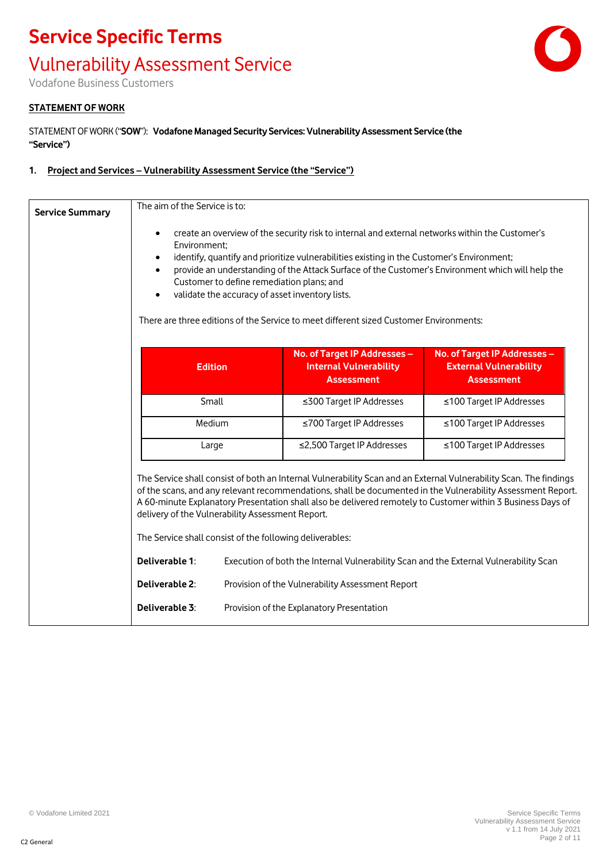# **Service Specific Terms** Vulnerability Assessment Service

Vodafone Business Customers

#### **STATEMENT OF WORK**

STATEMENT OF WORK ("**SOW**"): **Vodafone Managed Security Services: Vulnerability Assessment Service (the "Service")**

#### **1. Project and Services – Vulnerability Assessment Service (the "Service")**

| <b>Service Summary</b>                 | The aim of the Service is to:                                                                                                  |                                                                                              |                                                                                                                                                                                              |                                                                                                                                                                                                                                                                                                                                                 |
|----------------------------------------|--------------------------------------------------------------------------------------------------------------------------------|----------------------------------------------------------------------------------------------|----------------------------------------------------------------------------------------------------------------------------------------------------------------------------------------------|-------------------------------------------------------------------------------------------------------------------------------------------------------------------------------------------------------------------------------------------------------------------------------------------------------------------------------------------------|
| $\bullet$<br>Environment;<br>$\bullet$ |                                                                                                                                | Customer to define remediation plans; and<br>validate the accuracy of asset inventory lists. | create an overview of the security risk to internal and external networks within the Customer's<br>identify, quantify and prioritize vulnerabilities existing in the Customer's Environment; | provide an understanding of the Attack Surface of the Customer's Environment which will help the                                                                                                                                                                                                                                                |
|                                        |                                                                                                                                |                                                                                              | There are three editions of the Service to meet different sized Customer Environments:                                                                                                       |                                                                                                                                                                                                                                                                                                                                                 |
|                                        | <b>Edition</b>                                                                                                                 |                                                                                              | No. of Target IP Addresses -<br><b>Internal Vulnerability</b><br><b>Assessment</b>                                                                                                           | No. of Target IP Addresses -<br><b>External Vulnerability</b><br><b>Assessment</b>                                                                                                                                                                                                                                                              |
|                                        | Small                                                                                                                          |                                                                                              | ≤300 Target IP Addresses                                                                                                                                                                     | ≤100 Target IP Addresses                                                                                                                                                                                                                                                                                                                        |
|                                        | Medium                                                                                                                         |                                                                                              | ≤700 Target IP Addresses                                                                                                                                                                     | ≤100 Target IP Addresses                                                                                                                                                                                                                                                                                                                        |
|                                        | Large                                                                                                                          |                                                                                              | ≤2,500 Target IP Addresses                                                                                                                                                                   | ≤100 Target IP Addresses                                                                                                                                                                                                                                                                                                                        |
|                                        | delivery of the Vulnerability Assessment Report.<br>The Service shall consist of the following deliverables:<br>Deliverable 1: |                                                                                              | Execution of both the Internal Vulnerability Scan and the External Vulnerability Scan                                                                                                        | The Service shall consist of both an Internal Vulnerability Scan and an External Vulnerability Scan. The findings<br>of the scans, and any relevant recommendations, shall be documented in the Vulnerability Assessment Report.<br>A 60-minute Explanatory Presentation shall also be delivered remotely to Customer within 3 Business Days of |
|                                        | Deliverable 2:                                                                                                                 |                                                                                              |                                                                                                                                                                                              |                                                                                                                                                                                                                                                                                                                                                 |
|                                        |                                                                                                                                |                                                                                              | Provision of the Vulnerability Assessment Report                                                                                                                                             |                                                                                                                                                                                                                                                                                                                                                 |
|                                        | Deliverable 3:                                                                                                                 |                                                                                              | Provision of the Explanatory Presentation                                                                                                                                                    |                                                                                                                                                                                                                                                                                                                                                 |

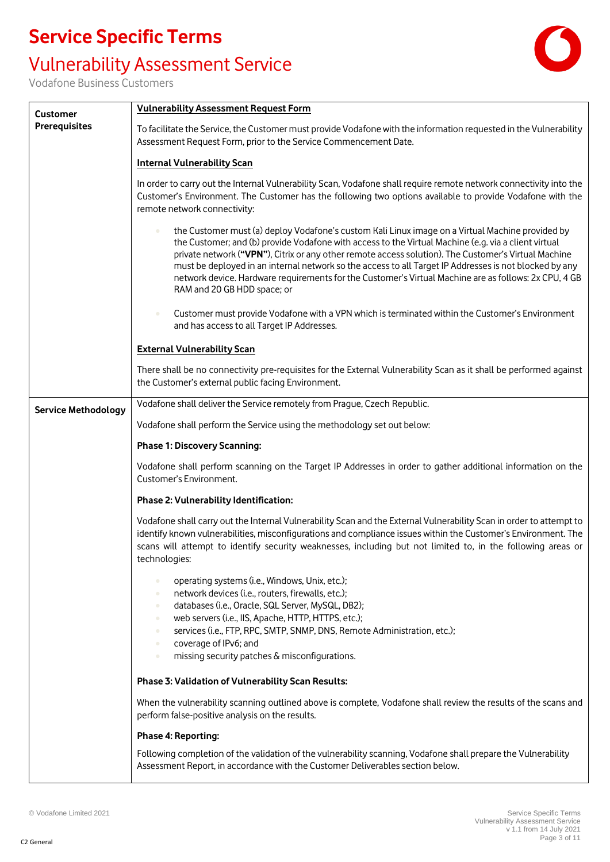### Vulnerability Assessment Service



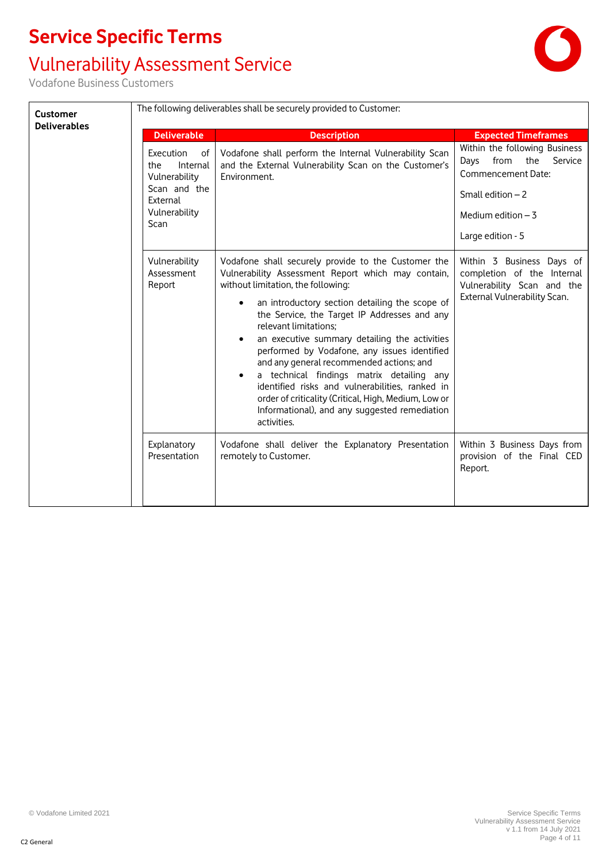# Vulnerability Assessment Service

Vodafone Business Customers

 $\Gamma$ 

| <b>Customer</b><br><b>Deliverables</b> | The following deliverables shall be securely provided to Customer:                                       |                                                                                                                                                                                                                                                                                                                                                                                                                                                                                                                                                                                                                                                              |                                                                                                                                                      |  |
|----------------------------------------|----------------------------------------------------------------------------------------------------------|--------------------------------------------------------------------------------------------------------------------------------------------------------------------------------------------------------------------------------------------------------------------------------------------------------------------------------------------------------------------------------------------------------------------------------------------------------------------------------------------------------------------------------------------------------------------------------------------------------------------------------------------------------------|------------------------------------------------------------------------------------------------------------------------------------------------------|--|
|                                        | <b>Deliverable</b>                                                                                       | <b>Description</b>                                                                                                                                                                                                                                                                                                                                                                                                                                                                                                                                                                                                                                           | <b>Expected Timeframes</b>                                                                                                                           |  |
|                                        | Execution<br>оf<br>the<br>Internal<br>Vulnerability<br>Scan and the<br>External<br>Vulnerability<br>Scan | Vodafone shall perform the Internal Vulnerability Scan<br>and the External Vulnerability Scan on the Customer's<br>Environment.                                                                                                                                                                                                                                                                                                                                                                                                                                                                                                                              | Within the following Business<br>the Service<br>from<br>Days<br>Commencement Date:<br>Small edition $-2$<br>Medium edition $-3$<br>Large edition - 5 |  |
|                                        | Vulnerability<br>Assessment<br>Report                                                                    | Vodafone shall securely provide to the Customer the<br>Vulnerability Assessment Report which may contain,<br>without limitation, the following:<br>an introductory section detailing the scope of<br>the Service, the Target IP Addresses and any<br>relevant limitations;<br>an executive summary detailing the activities<br>$\bullet$<br>performed by Vodafone, any issues identified<br>and any general recommended actions; and<br>a technical findings matrix detailing any<br>identified risks and vulnerabilities, ranked in<br>order of criticality (Critical, High, Medium, Low or<br>Informational), and any suggested remediation<br>activities. | Within 3 Business Days of<br>completion of the Internal<br>Vulnerability Scan and the<br>External Vulnerability Scan.                                |  |
|                                        | Explanatory<br>Presentation                                                                              | Vodafone shall deliver the Explanatory Presentation<br>remotely to Customer.                                                                                                                                                                                                                                                                                                                                                                                                                                                                                                                                                                                 | Within 3 Business Days from<br>provision of the Final CED<br>Report.                                                                                 |  |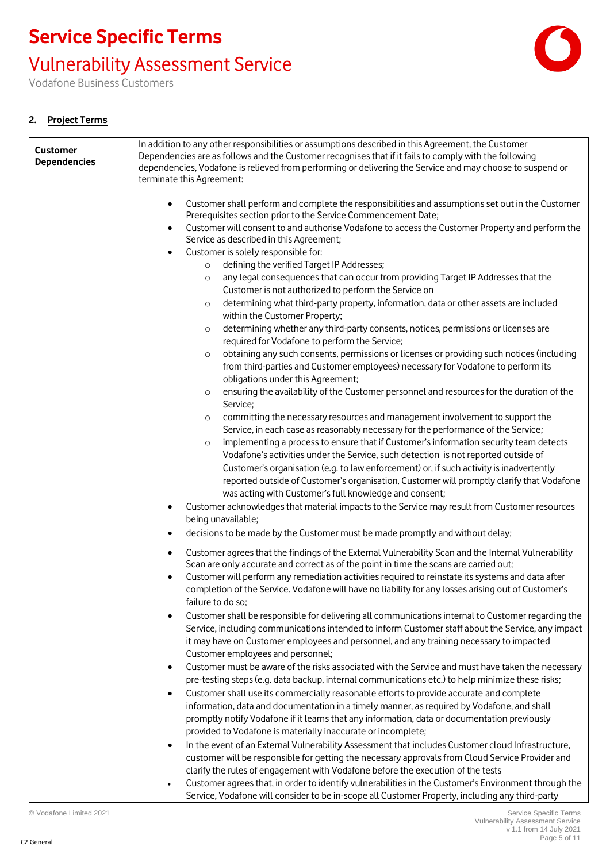Vulnerability Assessment Service

Vodafone Business Customers

### **2. Project Terms**

| <b>Customer</b><br><b>Dependencies</b> | In addition to any other responsibilities or assumptions described in this Agreement, the Customer<br>Dependencies are as follows and the Customer recognises that if it fails to comply with the following<br>dependencies, Vodafone is relieved from performing or delivering the Service and may choose to suspend or<br>terminate this Agreement:              |
|----------------------------------------|--------------------------------------------------------------------------------------------------------------------------------------------------------------------------------------------------------------------------------------------------------------------------------------------------------------------------------------------------------------------|
|                                        | Customer shall perform and complete the responsibilities and assumptions set out in the Customer<br>Prerequisites section prior to the Service Commencement Date;                                                                                                                                                                                                  |
|                                        | Customer will consent to and authorise Vodafone to access the Customer Property and perform the<br>$\bullet$<br>Service as described in this Agreement;                                                                                                                                                                                                            |
|                                        | Customer is solely responsible for:<br>$\bullet$                                                                                                                                                                                                                                                                                                                   |
|                                        | defining the verified Target IP Addresses;<br>$\circ$<br>any legal consequences that can occur from providing Target IP Addresses that the                                                                                                                                                                                                                         |
|                                        | $\circ$<br>Customer is not authorized to perform the Service on                                                                                                                                                                                                                                                                                                    |
|                                        | determining what third-party property, information, data or other assets are included<br>$\circ$<br>within the Customer Property;                                                                                                                                                                                                                                  |
|                                        | determining whether any third-party consents, notices, permissions or licenses are<br>$\circ$<br>required for Vodafone to perform the Service;                                                                                                                                                                                                                     |
|                                        | obtaining any such consents, permissions or licenses or providing such notices (including<br>$\circ$                                                                                                                                                                                                                                                               |
|                                        | from third-parties and Customer employees) necessary for Vodafone to perform its<br>obligations under this Agreement;                                                                                                                                                                                                                                              |
|                                        | ensuring the availability of the Customer personnel and resources for the duration of the<br>$\circ$<br>Service;                                                                                                                                                                                                                                                   |
|                                        | committing the necessary resources and management involvement to support the<br>$\circ$                                                                                                                                                                                                                                                                            |
|                                        | Service, in each case as reasonably necessary for the performance of the Service;                                                                                                                                                                                                                                                                                  |
|                                        | implementing a process to ensure that if Customer's information security team detects<br>$\circ$<br>Vodafone's activities under the Service, such detection is not reported outside of                                                                                                                                                                             |
|                                        | Customer's organisation (e.g. to law enforcement) or, if such activity is inadvertently                                                                                                                                                                                                                                                                            |
|                                        | reported outside of Customer's organisation, Customer will promptly clarify that Vodafone<br>was acting with Customer's full knowledge and consent;                                                                                                                                                                                                                |
|                                        | Customer acknowledges that material impacts to the Service may result from Customer resources<br>$\bullet$                                                                                                                                                                                                                                                         |
|                                        | being unavailable;                                                                                                                                                                                                                                                                                                                                                 |
|                                        | decisions to be made by the Customer must be made promptly and without delay;<br>$\bullet$                                                                                                                                                                                                                                                                         |
|                                        | Customer agrees that the findings of the External Vulnerability Scan and the Internal Vulnerability<br>$\bullet$<br>Scan are only accurate and correct as of the point in time the scans are carried out;                                                                                                                                                          |
|                                        | Customer will perform any remediation activities required to reinstate its systems and data after<br>completion of the Service. Vodafone will have no liability for any losses arising out of Customer's<br>failure to do so;                                                                                                                                      |
|                                        | Customer shall be responsible for delivering all communications internal to Customer regarding the<br>Service, including communications intended to inform Customer staff about the Service, any impact<br>it may have on Customer employees and personnel, and any training necessary to impacted<br>Customer employees and personnel;                            |
|                                        | Customer must be aware of the risks associated with the Service and must have taken the necessary<br>$\bullet$<br>pre-testing steps (e.g. data backup, internal communications etc.) to help minimize these risks;                                                                                                                                                 |
|                                        | Customer shall use its commercially reasonable efforts to provide accurate and complete<br>$\bullet$<br>information, data and documentation in a timely manner, as required by Vodafone, and shall<br>promptly notify Vodafone if it learns that any information, data or documentation previously<br>provided to Vodafone is materially inaccurate or incomplete; |
|                                        | In the event of an External Vulnerability Assessment that includes Customer cloud Infrastructure,<br>$\bullet$                                                                                                                                                                                                                                                     |
|                                        | customer will be responsible for getting the necessary approvals from Cloud Service Provider and                                                                                                                                                                                                                                                                   |
|                                        | clarify the rules of engagement with Vodafone before the execution of the tests                                                                                                                                                                                                                                                                                    |
|                                        | Customer agrees that, in order to identify vulnerabilities in the Customer's Environment through the                                                                                                                                                                                                                                                               |
|                                        | Service, Vodafone will consider to be in-scope all Customer Property, including any third-party                                                                                                                                                                                                                                                                    |

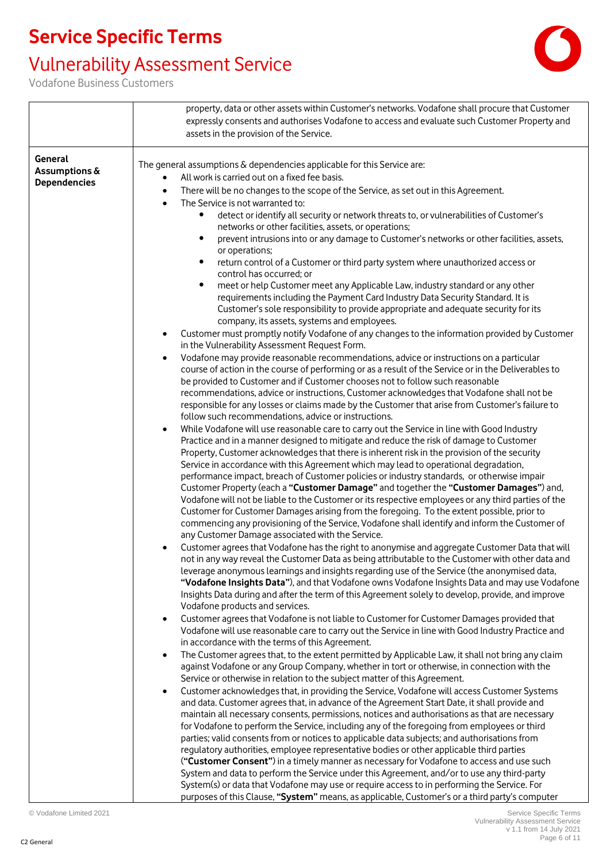## Vulnerability Assessment Service



|                     | property, data or other assets within Customer's networks. Vodafone shall procure that Customer                                                                                                               |
|---------------------|---------------------------------------------------------------------------------------------------------------------------------------------------------------------------------------------------------------|
|                     | expressly consents and authorises Vodafone to access and evaluate such Customer Property and                                                                                                                  |
|                     | assets in the provision of the Service.                                                                                                                                                                       |
|                     |                                                                                                                                                                                                               |
| General             |                                                                                                                                                                                                               |
| Assumptions &       | The general assumptions & dependencies applicable for this Service are:                                                                                                                                       |
| <b>Dependencies</b> | All work is carried out on a fixed fee basis.                                                                                                                                                                 |
|                     | There will be no changes to the scope of the Service, as set out in this Agreement.                                                                                                                           |
|                     | The Service is not warranted to:<br>$\bullet$                                                                                                                                                                 |
|                     | detect or identify all security or network threats to, or vulnerabilities of Customer's                                                                                                                       |
|                     | networks or other facilities, assets, or operations;                                                                                                                                                          |
|                     | prevent intrusions into or any damage to Customer's networks or other facilities, assets,                                                                                                                     |
|                     | or operations;                                                                                                                                                                                                |
|                     | return control of a Customer or third party system where unauthorized access or<br>$\bullet$                                                                                                                  |
|                     | control has occurred; or<br>$\bullet$                                                                                                                                                                         |
|                     | meet or help Customer meet any Applicable Law, industry standard or any other                                                                                                                                 |
|                     | requirements including the Payment Card Industry Data Security Standard. It is                                                                                                                                |
|                     | Customer's sole responsibility to provide appropriate and adequate security for its<br>company, its assets, systems and employees.                                                                            |
|                     | Customer must promptly notify Vodafone of any changes to the information provided by Customer                                                                                                                 |
|                     | in the Vulnerability Assessment Request Form.                                                                                                                                                                 |
|                     | Vodafone may provide reasonable recommendations, advice or instructions on a particular<br>$\bullet$                                                                                                          |
|                     | course of action in the course of performing or as a result of the Service or in the Deliverables to                                                                                                          |
|                     | be provided to Customer and if Customer chooses not to follow such reasonable                                                                                                                                 |
|                     | recommendations, advice or instructions, Customer acknowledges that Vodafone shall not be                                                                                                                     |
|                     | responsible for any losses or claims made by the Customer that arise from Customer's failure to                                                                                                               |
|                     | follow such recommendations, advice or instructions.                                                                                                                                                          |
|                     | While Vodafone will use reasonable care to carry out the Service in line with Good Industry                                                                                                                   |
|                     | Practice and in a manner designed to mitigate and reduce the risk of damage to Customer                                                                                                                       |
|                     | Property, Customer acknowledges that there is inherent risk in the provision of the security                                                                                                                  |
|                     | Service in accordance with this Agreement which may lead to operational degradation,                                                                                                                          |
|                     | performance impact, breach of Customer policies or industry standards, or otherwise impair                                                                                                                    |
|                     | Customer Property (each a "Customer Damage" and together the "Customer Damages") and,                                                                                                                         |
|                     | Vodafone will not be liable to the Customer or its respective employees or any third parties of the                                                                                                           |
|                     | Customer for Customer Damages arising from the foregoing. To the extent possible, prior to                                                                                                                    |
|                     | commencing any provisioning of the Service, Vodafone shall identify and inform the Customer of                                                                                                                |
|                     | any Customer Damage associated with the Service.                                                                                                                                                              |
|                     | Customer agrees that Vodafone has the right to anonymise and aggregate Customer Data that will                                                                                                                |
|                     | not in any way reveal the Customer Data as being attributable to the Customer with other data and                                                                                                             |
|                     | leverage anonymous learnings and insights regarding use of the Service (the anonymised data,                                                                                                                  |
|                     | "Vodafone Insights Data"), and that Vodafone owns Vodafone Insights Data and may use Vodafone                                                                                                                 |
|                     | Insights Data during and after the term of this Agreement solely to develop, provide, and improve                                                                                                             |
|                     | Vodafone products and services.                                                                                                                                                                               |
|                     | Customer agrees that Vodafone is not liable to Customer for Customer Damages provided that                                                                                                                    |
|                     | Vodafone will use reasonable care to carry out the Service in line with Good Industry Practice and                                                                                                            |
|                     | in accordance with the terms of this Agreement.                                                                                                                                                               |
|                     | The Customer agrees that, to the extent permitted by Applicable Law, it shall not bring any claim<br>$\bullet$<br>against Vodafone or any Group Company, whether in tort or otherwise, in connection with the |
|                     | Service or otherwise in relation to the subject matter of this Agreement.                                                                                                                                     |
|                     | Customer acknowledges that, in providing the Service, Vodafone will access Customer Systems                                                                                                                   |
|                     | $\bullet$<br>and data. Customer agrees that, in advance of the Agreement Start Date, it shall provide and                                                                                                     |
|                     | maintain all necessary consents, permissions, notices and authorisations as that are necessary                                                                                                                |
|                     | for Vodafone to perform the Service, including any of the foregoing from employees or third                                                                                                                   |
|                     | parties; valid consents from or notices to applicable data subjects; and authorisations from                                                                                                                  |
|                     | regulatory authorities, employee representative bodies or other applicable third parties                                                                                                                      |
|                     | ("Customer Consent") in a timely manner as necessary for Vodafone to access and use such                                                                                                                      |
|                     | System and data to perform the Service under this Agreement, and/or to use any third-party                                                                                                                    |
|                     | System(s) or data that Vodafone may use or require access to in performing the Service. For                                                                                                                   |
|                     | purposes of this Clause, "System" means, as applicable, Customer's or a third party's computer                                                                                                                |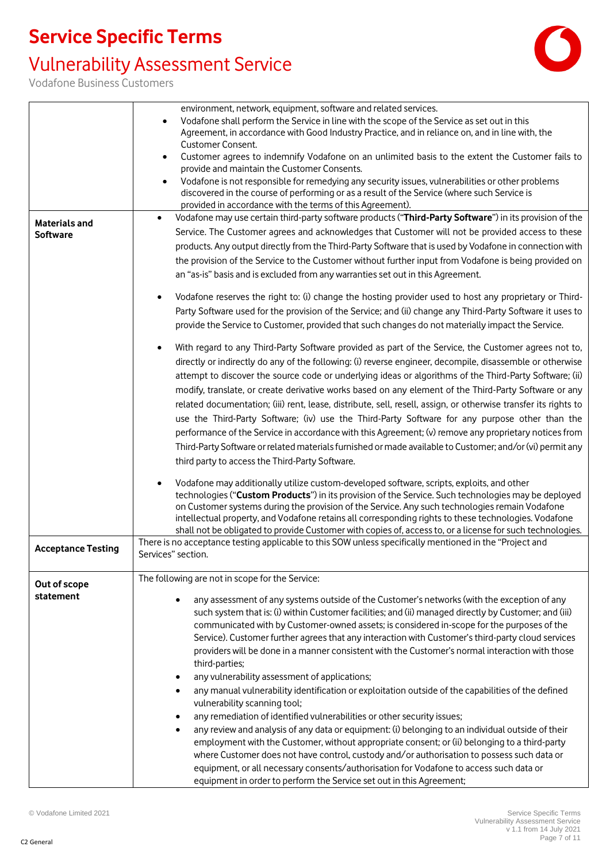## Vulnerability Assessment Service



|                           | environment, network, equipment, software and related services.                                                                                                                                              |
|---------------------------|--------------------------------------------------------------------------------------------------------------------------------------------------------------------------------------------------------------|
|                           | Vodafone shall perform the Service in line with the scope of the Service as set out in this                                                                                                                  |
|                           | Agreement, in accordance with Good Industry Practice, and in reliance on, and in line with, the                                                                                                              |
|                           | Customer Consent.                                                                                                                                                                                            |
|                           | Customer agrees to indemnify Vodafone on an unlimited basis to the extent the Customer fails to<br>$\bullet$                                                                                                 |
|                           | provide and maintain the Customer Consents.                                                                                                                                                                  |
|                           | Vodafone is not responsible for remedying any security issues, vulnerabilities or other problems<br>$\bullet$<br>discovered in the course of performing or as a result of the Service (where such Service is |
|                           | provided in accordance with the terms of this Agreement).                                                                                                                                                    |
| $\bullet$                 | Vodafone may use certain third-party software products ("Third-Party Software") in its provision of the                                                                                                      |
| <b>Materials and</b>      | Service. The Customer agrees and acknowledges that Customer will not be provided access to these                                                                                                             |
| <b>Software</b>           |                                                                                                                                                                                                              |
|                           | products. Any output directly from the Third-Party Software that is used by Vodafone in connection with                                                                                                      |
|                           | the provision of the Service to the Customer without further input from Vodafone is being provided on                                                                                                        |
|                           | an "as-is" basis and is excluded from any warranties set out in this Agreement.                                                                                                                              |
| $\bullet$                 | Vodafone reserves the right to: (i) change the hosting provider used to host any proprietary or Third-                                                                                                       |
|                           | Party Software used for the provision of the Service; and (ii) change any Third-Party Software it uses to                                                                                                    |
|                           | provide the Service to Customer, provided that such changes do not materially impact the Service.                                                                                                            |
| $\bullet$                 | With regard to any Third-Party Software provided as part of the Service, the Customer agrees not to,                                                                                                         |
|                           | directly or indirectly do any of the following: (i) reverse engineer, decompile, disassemble or otherwise                                                                                                    |
|                           | attempt to discover the source code or underlying ideas or algorithms of the Third-Party Software; (ii)                                                                                                      |
|                           | modify, translate, or create derivative works based on any element of the Third-Party Software or any                                                                                                        |
|                           | related documentation; (iii) rent, lease, distribute, sell, resell, assign, or otherwise transfer its rights to                                                                                              |
|                           | use the Third-Party Software; (iv) use the Third-Party Software for any purpose other than the                                                                                                               |
|                           |                                                                                                                                                                                                              |
|                           | performance of the Service in accordance with this Agreement; (v) remove any proprietary notices from                                                                                                        |
|                           | Third-Party Software or related materials furnished or made available to Customer; and/or (vi) permit any                                                                                                    |
|                           | third party to access the Third-Party Software.                                                                                                                                                              |
|                           | Vodafone may additionally utilize custom-developed software, scripts, exploits, and other                                                                                                                    |
|                           | technologies ("Custom Products") in its provision of the Service. Such technologies may be deployed                                                                                                          |
|                           | on Customer systems during the provision of the Service. Any such technologies remain Vodafone                                                                                                               |
|                           | intellectual property, and Vodafone retains all corresponding rights to these technologies. Vodafone                                                                                                         |
|                           | shall not be obligated to provide Customer with copies of, access to, or a license for such technologies.                                                                                                    |
| <b>Acceptance Testing</b> | There is no acceptance testing applicable to this SOW unless specifically mentioned in the "Project and                                                                                                      |
|                           | Services" section.                                                                                                                                                                                           |
| Out of scope              | The following are not in scope for the Service:                                                                                                                                                              |
| statement                 |                                                                                                                                                                                                              |
|                           | any assessment of any systems outside of the Customer's networks (with the exception of any                                                                                                                  |
|                           | such system that is: (i) within Customer facilities; and (ii) managed directly by Customer; and (iii)                                                                                                        |
|                           | communicated with by Customer-owned assets; is considered in-scope for the purposes of the                                                                                                                   |
|                           | Service). Customer further agrees that any interaction with Customer's third-party cloud services                                                                                                            |
|                           | providers will be done in a manner consistent with the Customer's normal interaction with those                                                                                                              |
|                           | third-parties;                                                                                                                                                                                               |
|                           | any vulnerability assessment of applications;                                                                                                                                                                |
|                           | any manual vulnerability identification or exploitation outside of the capabilities of the defined<br>vulnerability scanning tool;                                                                           |
|                           | any remediation of identified vulnerabilities or other security issues;                                                                                                                                      |
|                           | any review and analysis of any data or equipment: (i) belonging to an individual outside of their                                                                                                            |
|                           | employment with the Customer, without appropriate consent; or (ii) belonging to a third-party                                                                                                                |
|                           | where Customer does not have control, custody and/or authorisation to possess such data or                                                                                                                   |
|                           | equipment, or all necessary consents/authorisation for Vodafone to access such data or                                                                                                                       |
|                           |                                                                                                                                                                                                              |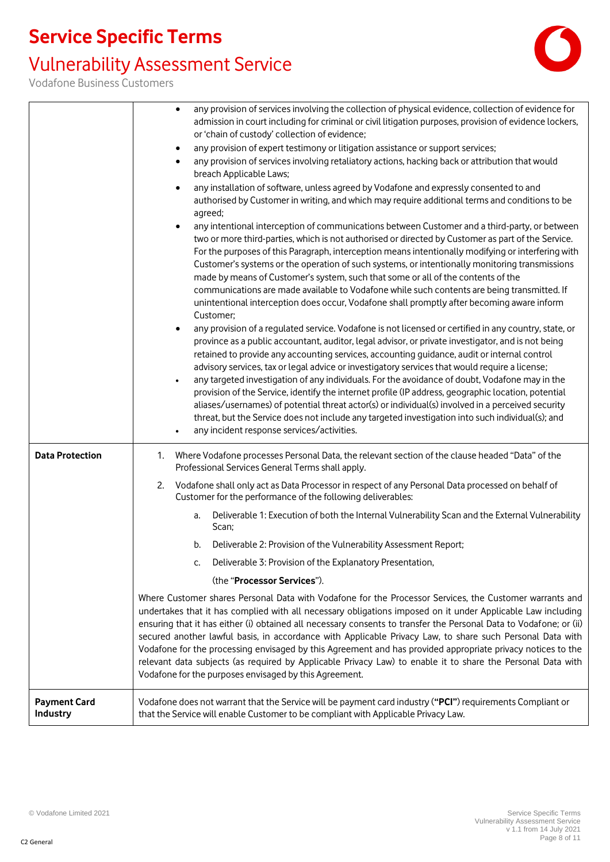## Vulnerability Assessment Service



|                                 | any provision of services involving the collection of physical evidence, collection of evidence for<br>admission in court including for criminal or civil litigation purposes, provision of evidence lockers,                                                                                                                                                                                                                                                                                                                                                                                                                                                                                                                                                                                                                                                                             |
|---------------------------------|-------------------------------------------------------------------------------------------------------------------------------------------------------------------------------------------------------------------------------------------------------------------------------------------------------------------------------------------------------------------------------------------------------------------------------------------------------------------------------------------------------------------------------------------------------------------------------------------------------------------------------------------------------------------------------------------------------------------------------------------------------------------------------------------------------------------------------------------------------------------------------------------|
|                                 | or 'chain of custody' collection of evidence;                                                                                                                                                                                                                                                                                                                                                                                                                                                                                                                                                                                                                                                                                                                                                                                                                                             |
|                                 | any provision of expert testimony or litigation assistance or support services;<br>٠                                                                                                                                                                                                                                                                                                                                                                                                                                                                                                                                                                                                                                                                                                                                                                                                      |
|                                 | any provision of services involving retaliatory actions, hacking back or attribution that would<br>$\bullet$<br>breach Applicable Laws;                                                                                                                                                                                                                                                                                                                                                                                                                                                                                                                                                                                                                                                                                                                                                   |
|                                 | any installation of software, unless agreed by Vodafone and expressly consented to and<br>$\bullet$<br>authorised by Customer in writing, and which may require additional terms and conditions to be<br>agreed;                                                                                                                                                                                                                                                                                                                                                                                                                                                                                                                                                                                                                                                                          |
|                                 | any intentional interception of communications between Customer and a third-party, or between<br>two or more third-parties, which is not authorised or directed by Customer as part of the Service.<br>For the purposes of this Paragraph, interception means intentionally modifying or interfering with<br>Customer's systems or the operation of such systems, or intentionally monitoring transmissions<br>made by means of Customer's system, such that some or all of the contents of the<br>communications are made available to Vodafone while such contents are being transmitted. If<br>unintentional interception does occur, Vodafone shall promptly after becoming aware inform                                                                                                                                                                                              |
|                                 | Customer;<br>any provision of a regulated service. Vodafone is not licensed or certified in any country, state, or<br>province as a public accountant, auditor, legal advisor, or private investigator, and is not being<br>retained to provide any accounting services, accounting guidance, audit or internal control<br>advisory services, tax or legal advice or investigatory services that would require a license;<br>any targeted investigation of any individuals. For the avoidance of doubt, Vodafone may in the<br>provision of the Service, identify the internet profile (IP address, geographic location, potential<br>aliases/usernames) of potential threat actor(s) or individual(s) involved in a perceived security<br>threat, but the Service does not include any targeted investigation into such individual(s); and<br>any incident response services/activities. |
| <b>Data Protection</b>          | Where Vodafone processes Personal Data, the relevant section of the clause headed "Data" of the<br>1.<br>Professional Services General Terms shall apply.                                                                                                                                                                                                                                                                                                                                                                                                                                                                                                                                                                                                                                                                                                                                 |
|                                 | Vodafone shall only act as Data Processor in respect of any Personal Data processed on behalf of<br>2.<br>Customer for the performance of the following deliverables:                                                                                                                                                                                                                                                                                                                                                                                                                                                                                                                                                                                                                                                                                                                     |
|                                 | Deliverable 1: Execution of both the Internal Vulnerability Scan and the External Vulnerability<br>a.<br>Scan;                                                                                                                                                                                                                                                                                                                                                                                                                                                                                                                                                                                                                                                                                                                                                                            |
|                                 | Deliverable 2: Provision of the Vulnerability Assessment Report;<br>b.                                                                                                                                                                                                                                                                                                                                                                                                                                                                                                                                                                                                                                                                                                                                                                                                                    |
|                                 | Deliverable 3: Provision of the Explanatory Presentation,<br>$\mathsf{C}$                                                                                                                                                                                                                                                                                                                                                                                                                                                                                                                                                                                                                                                                                                                                                                                                                 |
|                                 | (the "Processor Services").                                                                                                                                                                                                                                                                                                                                                                                                                                                                                                                                                                                                                                                                                                                                                                                                                                                               |
|                                 | Where Customer shares Personal Data with Vodafone for the Processor Services, the Customer warrants and<br>undertakes that it has complied with all necessary obligations imposed on it under Applicable Law including<br>ensuring that it has either (i) obtained all necessary consents to transfer the Personal Data to Vodafone; or (ii)<br>secured another lawful basis, in accordance with Applicable Privacy Law, to share such Personal Data with<br>Vodafone for the processing envisaged by this Agreement and has provided appropriate privacy notices to the<br>relevant data subjects (as required by Applicable Privacy Law) to enable it to share the Personal Data with<br>Vodafone for the purposes envisaged by this Agreement.                                                                                                                                         |
| <b>Payment Card</b><br>Industry | Vodafone does not warrant that the Service will be payment card industry ("PCI") requirements Compliant or<br>that the Service will enable Customer to be compliant with Applicable Privacy Law.                                                                                                                                                                                                                                                                                                                                                                                                                                                                                                                                                                                                                                                                                          |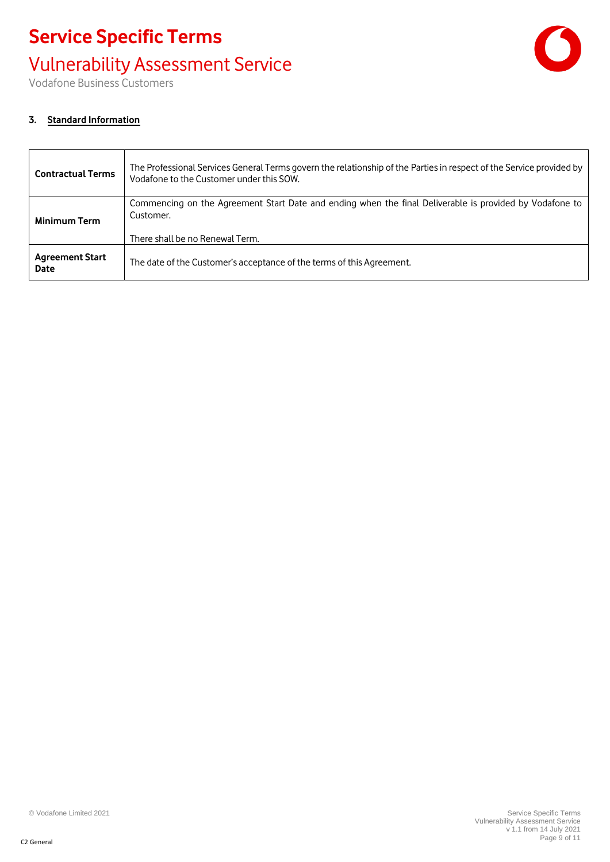# **Service Specific Terms** Vulnerability Assessment Service



Vodafone Business Customers

#### **3. Standard Information**

| <b>Contractual Terms</b>              | The Professional Services General Terms govern the relationship of the Parties in respect of the Service provided by<br>Vodafone to the Customer under this SOW. |
|---------------------------------------|------------------------------------------------------------------------------------------------------------------------------------------------------------------|
| <b>Minimum Term</b>                   | Commencing on the Agreement Start Date and ending when the final Deliverable is provided by Vodafone to<br>Customer.<br>There shall be no Renewal Term.          |
| <b>Agreement Start</b><br><b>Date</b> | The date of the Customer's acceptance of the terms of this Agreement.                                                                                            |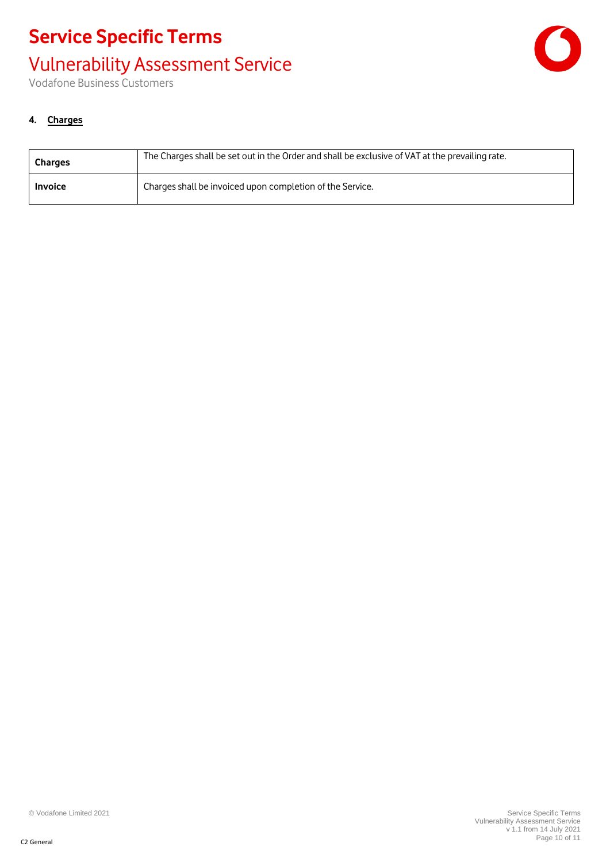# **Service Specific Terms** Vulnerability Assessment Service



Vodafone Business Customers

#### **4. Charges**

| <b>Charges</b> | The Charges shall be set out in the Order and shall be exclusive of VAT at the prevailing rate. |
|----------------|-------------------------------------------------------------------------------------------------|
| <b>Invoice</b> | Charges shall be invoiced upon completion of the Service.                                       |